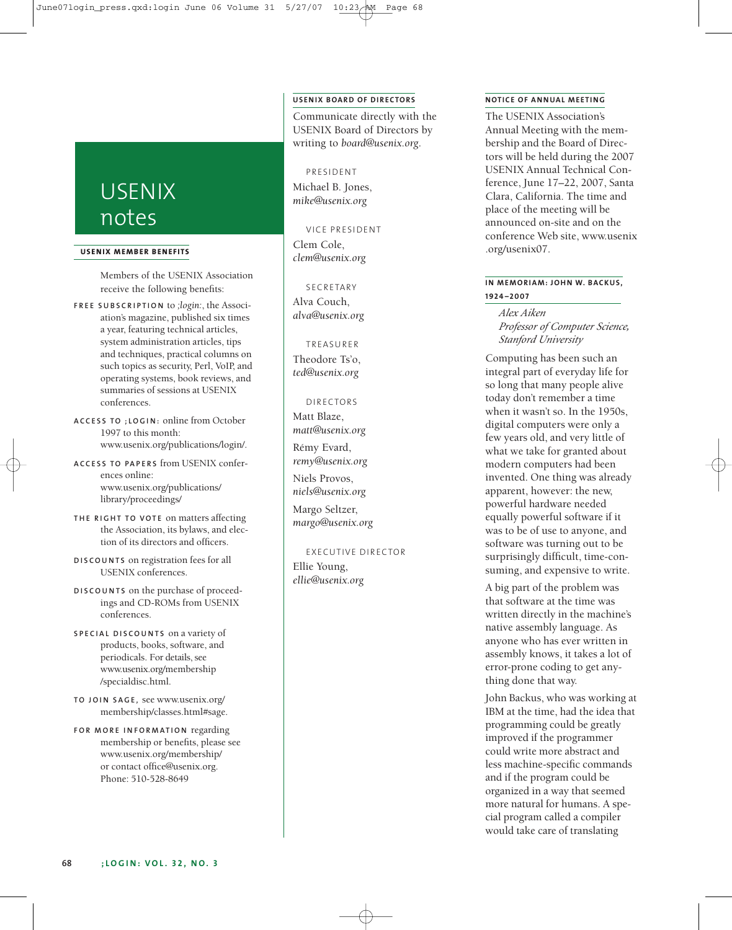# USENIX notes

### **USENIX MEMBER BENEF ITS**

Members of the USENIX Association receive the following benefits:

- **F R E E S U B S C R I P T I O N** to *;login:*, the Association's magazine, published six times a year, featuring technical articles, system administration articles, tips and techniques, practical columns on such topics as security, Perl, VoIP, and operating systems, book reviews, and summaries of sessions at USENIX conferences.
- **A C C E S S T O ; L O G I N :** online from October 1997 to this month: www.usenix.org/publications/login/.
- **A C C E S S T O PA P E R S** from USENIX conferences online: www.usenix.org/publications/ library/proceedings/
- **TH E R I G H T T O V O T E** on matters affecting the Association, its bylaws, and election of its directors and officers.
- **D I S C O U N T S** on registration fees for all USENIX conferences.
- **D I S C O U N T S** on the purchase of proceedings and CD-ROMs from USENIX conferences.
- **S P E C I A L D I S C O U N T S** on a variety of products, books, software, and periodicals. For details, see www.usenix.org/membership /specialdisc.html.
- **T O J O I N S AG E ,** see www.usenix.org/ membership/classes.html#sage.
- **F O R M O R E I N F O R M AT I O N** regarding membership or benefits, please see www.usenix.org/membership/ or contact office@usenix.org. Phone: 510-528-8649

# **USENIX BOARD OF DIRECTORS**

Communicate directly with the USENIX Board of Directors by writing to *board@usenix.org*.

#### PRESIDENT

Michael B. Jones, *mike@usenix.org*

VICE PRESIDENT Clem Cole, *clem@usenix.org*

#### SECRETARY

Alva Couch, *alva@usenix.org*

#### TREASURER

Theodore Ts'o, *ted@usenix.org*

# DI RECTORS

Matt Blaze, *matt@usenix.org* Rémy Evard,

*remy@usenix.org* Niels Provos,

*niels@usenix.org*

Margo Seltzer, *margo@usenix.org*

# EXECUTIVE DIRECTOR Ellie Young,

*ellie@usenix.org*

# **NOTICE OF ANNUAL MEETING**

The USENIX Association's Annual Meeting with the membership and the Board of Directors will be held during the 2007 USENIX Annual Technical Conference, June 17–22, 2007, Santa Clara, California. The time and place of the meeting will be announced on-site and on the conference Web site, www.usenix .org/usenix07.

# **IN MEMORIAM: JOHN W. BACKUS, 1924 – 2007**

*Alex Aiken Professor of Computer Science, Stanford University*

Computing has been such an integral part of everyday life for so long that many people alive today don't remember a time when it wasn't so. In the 1950s, digital computers were only a few years old, and very little of what we take for granted about modern computers had been invented. One thing was already apparent, however: the new, powerful hardware needed equally powerful software if it was to be of use to anyone, and software was turning out to be surprisingly difficult, time-consuming, and expensive to write.

A big part of the problem was that software at the time was written directly in the machine's native assembly language. As anyone who has ever written in assembly knows, it takes a lot of error-prone coding to get anything done that way.

John Backus, who was working at IBM at the time, had the idea that programming could be greatly improved if the programmer could write more abstract and less machine-specific commands and if the program could be organized in a way that seemed more natural for humans. A special program called a compiler would take care of translating